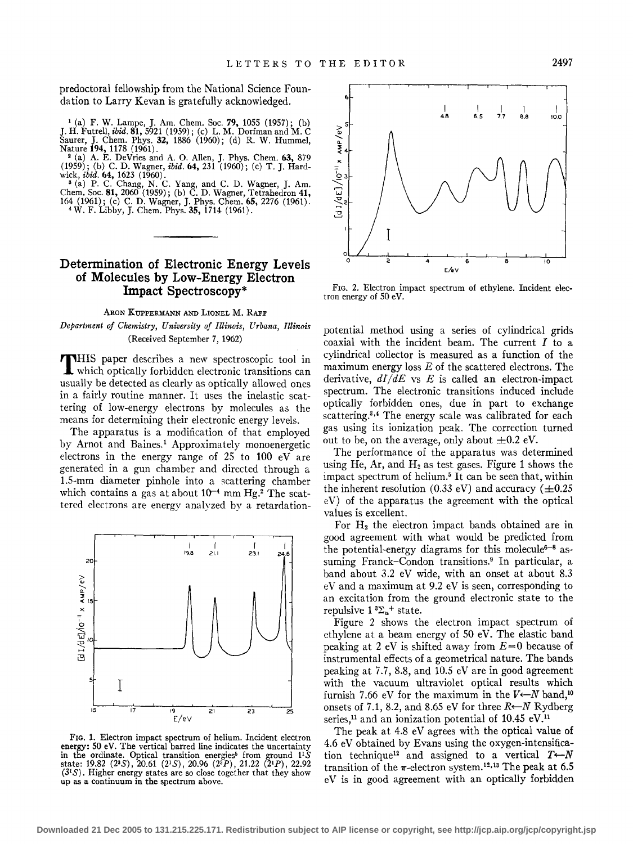predoctoral fellowship from the National Science Foundation to Larry Kevan is gratefully acknowledged.

<sup>1</sup> (a) F. W. Lampe, J. Am. Chem. Soc. 79, 1055 (1957); (b) J. H. Futrell, *ibid.* 81, 5921 (1959); (c) L. M. Dorfman and M. C Saurer, J. Chem. Phys. 32, 1886 (1960); (d) R. W. Hummel,

Nature 194, 1178 (1961).<br><sup>2</sup> (a) A. E. DeVries and A. O. Allen, J. Phys. Chem. 63, 879  $(1959)$ ; (b) C. D. Wagner, *ibid.* 64, 231 (1960); (c) T. J. Hard-

wick, *ibid.* 64, 1623 (1960).<br><sup>3</sup> (a) P. C. Chang, N. C. Yang, and C. D. Wagner, J. Am.<br>Chem. Soc. 81, 2060 (1959); (b) C. D. Wagner, Tetrahedron 41,<br>164 (1961); (c) C. D. Wagner, J. Phys. Chem. 65, 2276 (1961).<br><sup>4</sup> W. F.

## Determination of Electronic Energy Levels of Molecules by Low-Energy Electron Impact Spectroscopy\*

### ARON KUPPERMANN AND LIONEL M. RAFF *Department of Chemistry, University of Illinois, Urbana, Illinois*  (Received September 7, 1962)

THIS paper describes a new spectroscopic tool in which optically forbidden electronic transitions can usually be detected as clearly as optically allowed ones in a fairly routine manner. It uses the inelastic scattering of low-energy electrons by molecules as the means for determining their electronic energy levels.

The apparatus is a modification of that employed by Arnot and Baines.<sup>1</sup> Approximately monoenergetic electrons in the energy range of 25 to 100 eV are generated in a gun chamber and directed through a 1.5-mm diameter pinhole into a scattering chamber which contains a gas at about  $10^{-4}$  mm Hg.<sup>2</sup> The scattered electrons are energy analyzed by a retardation-



FIG. 1. Electron impact spectrum of helium. Incident electron energy: 50 eV. The vertical barred line indicates the uncertainty in the ordinate. Optical transition energies<sup>5</sup> from ground 1<sup>1</sup>S state: 19.82 (2<sup>3</sup>S), 20.61 (2<sup>1</sup>S), 20.96 (2<sup>3</sup>P), 21.22 (2<sup>1</sup>P), 22.92  $(3<sup>i</sup>S)$ . Higher energy states are so close together that they show up as a continuum in the spectrum above.



FIG. 2. Electron impact spectrum of ethylene. Incident electron energy of 50 eV.

potential method using a series of cylindrical grids coaxial with the incident beam. The current  $I$  to a cylindrical collector is measured as a function of the maximum energy loss  $E$  of the scattered electrons. The derivative,  $dI/dE$  vs E is called an electron-impact spectrum. The electronic transitions induced include optically forbidden ones, due in part to exchange scattering.<sup>3,4</sup> The energy scale was calibrated for each gas using its ionization peak. The correction turned out to be, on the average, only about  $\pm 0.2$  eV.

The performance of the apparatus was determined using He, Ar, and  $H_2$  as test gases. Figure 1 shows the impact spectrum of helium.<sup>5</sup> It can be seen that, within the inherent resolution (0.33 eV) and accuracy ( $\pm$ 0.25 eV) of the apparatus the agreement with the optical values is excellent.

For  $H_2$  the electron impact bands obtained are in good agreement with what would be predicted from the potential-energy diagrams for this molecule<sup>6-8</sup> assuming Franck-Condon transitions.<sup>9</sup> In particular, a band about 3.2 eV wide, with an onset at about 8.3 eV and a maximum at 9.2 eV is seen, corresponding to an excitation from the ground electronic state to the repulsive  $1 \, \mathrm{^{3} \Sigma_{u}^{+}}$  state.

Figure 2 shows the electron impact spectrum of ethylene at a beam energy of SO eV. The elastic band peaking at 2 eV is shifted away from *E=O* because of instrumental effects of a geometrical nature. The bands peaking at 7.7, 8.8, and 10.5 eV are in good agreement with the vacuum ultraviolet optical results which furnish 7.66 eV for the maximum in the  $V \leftarrow N$  band,<sup>10</sup> onsets of 7.1, 8.2, and 8.65 eV for three  $R \leftarrow N$  Rydberg series,<sup>11</sup> and an ionization potential of  $10.45$  eV.<sup>11</sup>

The peak at 4.8 eV agrees with the optical value of 4.6 eV obtained by Evans using the oxygen-intensification technique<sup>12</sup> and assigned to a vertical  $T \leftarrow N$ transition of the  $\pi$ -electron system.<sup>12,13</sup> The peak at 6.5 eV is in good agreement with an optically forbidden